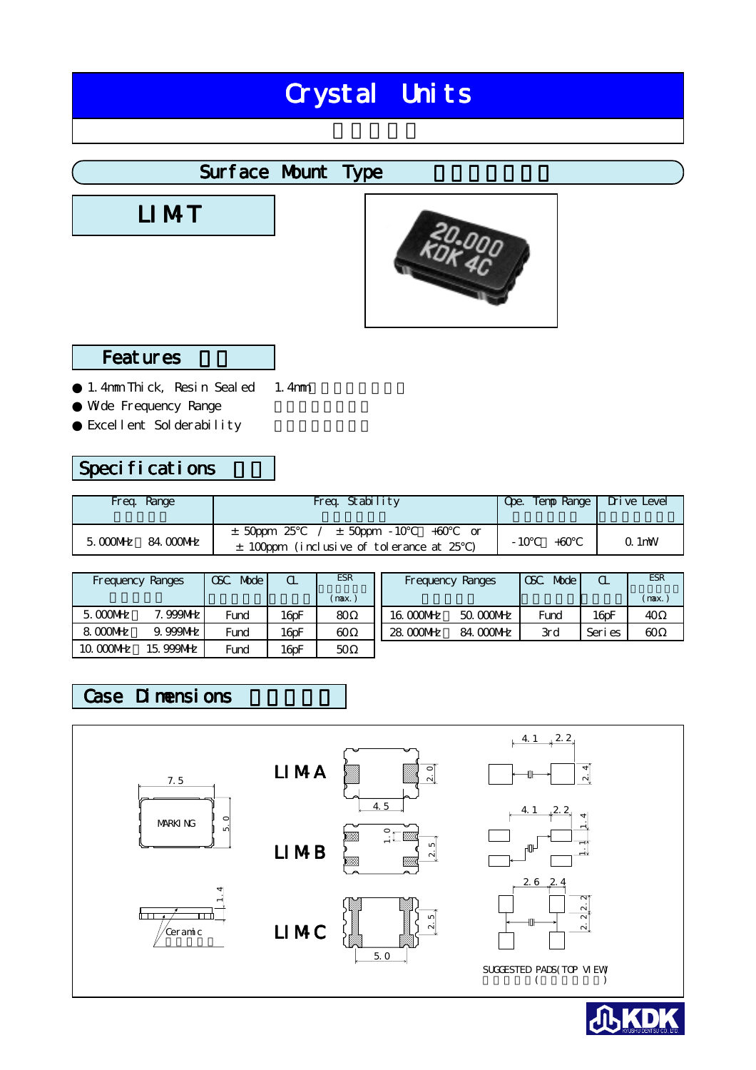# Crystal Units

# Surface Mount Type

LI MT



### **Features**

1. 4mm Thick, Resin Sealed Wde Frequency Range Excellent Solderability 1.4mm

# Specifications

| Freq. Range                   | Freq. Stability                                                                           | Ope. Temp Range   Drive Level |          |
|-------------------------------|-------------------------------------------------------------------------------------------|-------------------------------|----------|
| 84. COONHZ<br>$5.000$ M $h$ z | $\pm$ 50ppm 25 $/$ $\pm$ 50ppm -10<br>$+60$<br>$\pm$ 100ppm (inclusive of tolerance at 25 | - 10<br>$+60$                 | $Q1$ 1mW |

|             | Frequency Ranges | <b>Mode</b><br><b>OSC</b> | $\alpha$            | <b>ESR</b> |           | Frequency Ranges | Mode<br>CSC | $\alpha$            | <b>ESR</b> |
|-------------|------------------|---------------------------|---------------------|------------|-----------|------------------|-------------|---------------------|------------|
|             |                  |                           |                     | (max.i     |           |                  |             |                     | (max.      |
| $5.000$ MHz | <b>999NHz</b>    | Fund                      | $16$ <sub>D</sub> F | 80         | 16.000MHz | 50.000MHz        | Fund        | $16$ <sub>D</sub> F | 40         |
| 8.000 NHz   | $9.999$ MHz      | Fund                      | $16$ <sub>D</sub> F | 60         | 28 COOMHZ | 84. COONHz       | 3rd         | Seri es             | 60         |
| 10.0000MHz  | 15, 999MHz       | Fund                      | $16$ oF             | 50         |           |                  |             |                     |            |

## Case Dimensions